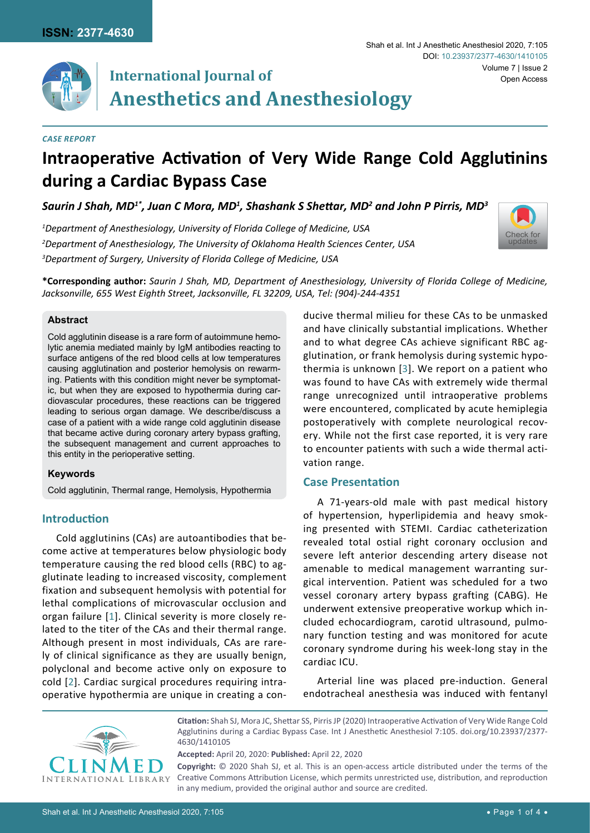

# **International Journal of Anesthetics and Anesthesiology**

#### *Case Report*

# **Intraoperative Activation of Very Wide Range Cold Agglutinins during a Cardiac Bypass Case**

*Saurin J Shah, MD1\*, Juan C Mora, MD1 , Shashank S Shettar, MD<sup>2</sup> and John P Pirris, MD3*

*1 Department of Anesthesiology, University of Florida College of Medicine, USA 2 Department of Anesthesiology, The University of Oklahoma Health Sciences Center, USA 3 Department of Surgery, University of Florida College of Medicine, USA*



**\*Corresponding author:** *Saurin J Shah, MD, Department of Anesthesiology, University of Florida College of Medicine, Jacksonville, 655 West Eighth Street, Jacksonville, FL 32209, USA, Tel: (904)-244-4351*

# **Abstract**

Cold agglutinin disease is a rare form of autoimmune hemolytic anemia mediated mainly by IgM antibodies reacting to surface antigens of the red blood cells at low temperatures causing agglutination and posterior hemolysis on rewarming. Patients with this condition might never be symptomatic, but when they are exposed to hypothermia during cardiovascular procedures, these reactions can be triggered leading to serious organ damage. We describe/discuss a case of a patient with a wide range cold agglutinin disease that became active during coronary artery bypass grafting, the subsequent management and current approaches to this entity in the perioperative setting.

# **Keywords**

Cold agglutinin, Thermal range, Hemolysis, Hypothermia

# **Introduction**

Cold agglutinins (CAs) are autoantibodies that become active at temperatures below physiologic body temperature causing the red blood cells (RBC) to agglutinate leading to increased viscosity, complement fixation and subsequent hemolysis with potential for lethal complications of microvascular occlusion and organ failure [[1\]](#page-2-1). Clinical severity is more closely related to the titer of the CAs and their thermal range. Although present in most individuals, CAs are rarely of clinical significance as they are usually benign, polyclonal and become active only on exposure to cold [[2\]](#page-2-2). Cardiac surgical procedures requiring intraoperative hypothermia are unique in creating a conducive thermal milieu for these CAs to be unmasked and have clinically substantial implications. Whether and to what degree CAs achieve significant RBC agglutination, or frank hemolysis during systemic hypothermia is unknown [[3\]](#page-2-0). We report on a patient who was found to have CAs with extremely wide thermal range unrecognized until intraoperative problems were encountered, complicated by acute hemiplegia postoperatively with complete neurological recovery. While not the first case reported, it is very rare to encounter patients with such a wide thermal activation range.

# **Case Presentation**

A 71-years-old male with past medical history of hypertension, hyperlipidemia and heavy smoking presented with STEMI. Cardiac catheterization revealed total ostial right coronary occlusion and severe left anterior descending artery disease not amenable to medical management warranting surgical intervention. Patient was scheduled for a two vessel coronary artery bypass grafting (CABG). He underwent extensive preoperative workup which included echocardiogram, carotid ultrasound, pulmonary function testing and was monitored for acute coronary syndrome during his week-long stay in the cardiac ICU.

Arterial line was placed pre-induction. General endotracheal anesthesia was induced with fentanyl



**Citation:** Shah SJ, Mora JC, Shettar SS, Pirris JP (2020) Intraoperative Activation of Very Wide Range Cold Agglutinins during a Cardiac Bypass Case. Int J Anesthetic Anesthesiol 7:105. [doi.org/10.23937/2377-](https://doi.org/10.23937/2377-4630/1410105) [4630/141010](https://doi.org/10.23937/2377-4630/1410105)5

**Accepted:** April 20, 2020: **Published:** April 22, 2020

**Copyright:** © 2020 Shah SJ, et al. This is an open-access article distributed under the terms of the Creative Commons Attribution License, which permits unrestricted use, distribution, and reproduction in any medium, provided the original author and source are credited.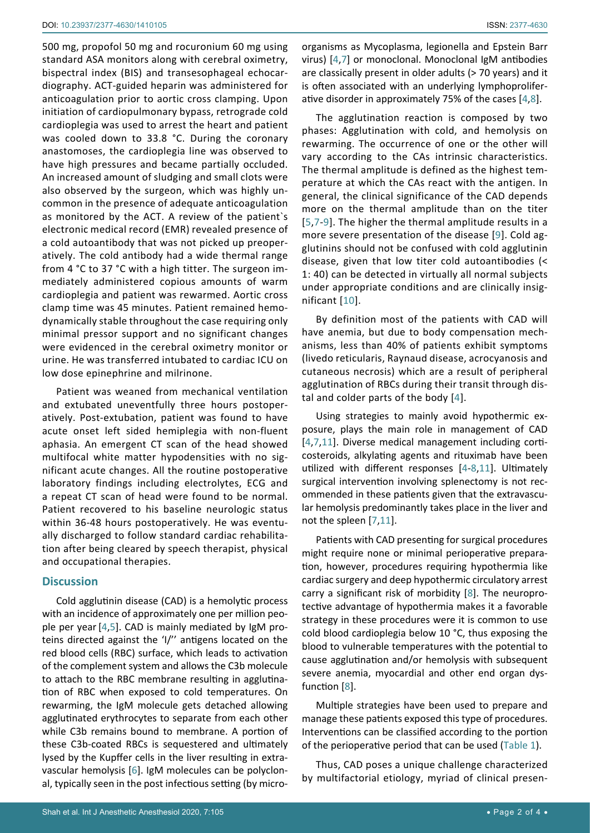500 mg, propofol 50 mg and rocuronium 60 mg using standard ASA monitors along with cerebral oximetry, bispectral index (BIS) and transesophageal echocardiography. ACT-guided heparin was administered for anticoagulation prior to aortic cross clamping. Upon initiation of cardiopulmonary bypass, retrograde cold cardioplegia was used to arrest the heart and patient was cooled down to 33.8 °C. During the coronary anastomoses, the cardioplegia line was observed to have high pressures and became partially occluded. An increased amount of sludging and small clots were also observed by the surgeon, which was highly uncommon in the presence of adequate anticoagulation as monitored by the ACT. A review of the patient`s electronic medical record (EMR) revealed presence of a cold autoantibody that was not picked up preoperatively. The cold antibody had a wide thermal range from 4 °C to 37 °C with a high titter. The surgeon immediately administered copious amounts of warm cardioplegia and patient was rewarmed. Aortic cross clamp time was 45 minutes. Patient remained hemodynamically stable throughout the case requiring only minimal pressor support and no significant changes were evidenced in the cerebral oximetry monitor or urine. He was transferred intubated to cardiac ICU on low dose epinephrine and milrinone.

Patient was weaned from mechanical ventilation and extubated uneventfully three hours postoperatively. Post-extubation, patient was found to have acute onset left sided hemiplegia with non-fluent aphasia. An emergent CT scan of the head showed multifocal white matter hypodensities with no significant acute changes. All the routine postoperative laboratory findings including electrolytes, ECG and a repeat CT scan of head were found to be normal. Patient recovered to his baseline neurologic status within 36-48 hours postoperatively. He was eventually discharged to follow standard cardiac rehabilitation after being cleared by speech therapist, physical and occupational therapies.

#### **Discussion**

Cold agglutinin disease (CAD) is a hemolytic process with an incidence of approximately one per million people per year[[4](#page-2-3),[5\]](#page-2-4). CAD is mainly mediated by IgM proteins directed against the 'I/'' antigens located on the red blood cells (RBC) surface, which leads to activation of the complement system and allows the C3b molecule to attach to the RBC membrane resulting in agglutination of RBC when exposed to cold temperatures. On rewarming, the IgM molecule gets detached allowing agglutinated erythrocytes to separate from each other while C3b remains bound to membrane. A portion of these C3b-coated RBCs is sequestered and ultimately lysed by the Kupffer cells in the liver resulting in extravascular hemolysis [[6](#page-3-5)]. IgM molecules can be polyclonal, typically seen in the post infectious setting (by micro-

organisms as Mycoplasma, legionella and Epstein Barr virus) [[4,](#page-2-3)[7](#page-3-0)] or monoclonal. Monoclonal IgM antibodies are classically present in older adults (> 70 years) and it is often associated with an underlying lymphoproliferative disorder in approximately 75% of the cases [[4,](#page-2-3)[8](#page-3-1)].

The agglutination reaction is composed by two phases: Agglutination with cold, and hemolysis on rewarming. The occurrence of one or the other will vary according to the CAs intrinsic characteristics. The thermal amplitude is defined as the highest temperature at which the CAs react with the antigen. In general, the clinical significance of the CAD depends more on the thermal amplitude than on the titer [\[5](#page-2-4),[7](#page-3-0)[-9](#page-3-2)]. The higher the thermal amplitude results in a more severe presentation of the disease [[9\]](#page-3-2). Cold agglutinins should not be confused with cold agglutinin disease, given that low titer cold autoantibodies (< 1: 40) can be detected in virtually all normal subjects under appropriate conditions and are clinically insignificant [\[10\]](#page-3-3).

By definition most of the patients with CAD will have anemia, but due to body compensation mechanisms, less than 40% of patients exhibit symptoms (livedo reticularis, Raynaud disease, acrocyanosis and cutaneous necrosis) which are a result of peripheral agglutination of RBCs during their transit through distal and colder parts of the body [[4](#page-2-3)].

Using strategies to mainly avoid hypothermic exposure, plays the main role in management of CAD [[4,](#page-2-3)[7](#page-3-0),[11\]](#page-3-4). Diverse medical management including corticosteroids, alkylating agents and rituximab have been utilized with different responses [[4](#page-2-3)-[8,](#page-3-1)[11\]](#page-3-4). Ultimately surgical intervention involving splenectomy is not recommended in these patients given that the extravascular hemolysis predominantly takes place in the liver and not the spleen [\[7](#page-3-0),[11\]](#page-3-4).

Patients with CAD presenting for surgical procedures might require none or minimal perioperative preparation, however, procedures requiring hypothermia like cardiac surgery and deep hypothermic circulatory arrest carry a significant risk of morbidity [[8](#page-3-1)]. The neuroprotective advantage of hypothermia makes it a favorable strategy in these procedures were it is common to use cold blood cardioplegia below 10 °C, thus exposing the blood to vulnerable temperatures with the potential to cause agglutination and/or hemolysis with subsequent severe anemia, myocardial and other end organ dysfunction [[8](#page-3-1)].

Multiple strategies have been used to prepare and manage these patients exposed this type of procedures. Interventions can be classified according to the portion of the perioperative period that can be used [\(Table 1\)](#page-2-5).

Thus, CAD poses a unique challenge characterized by multifactorial etiology, myriad of clinical presen-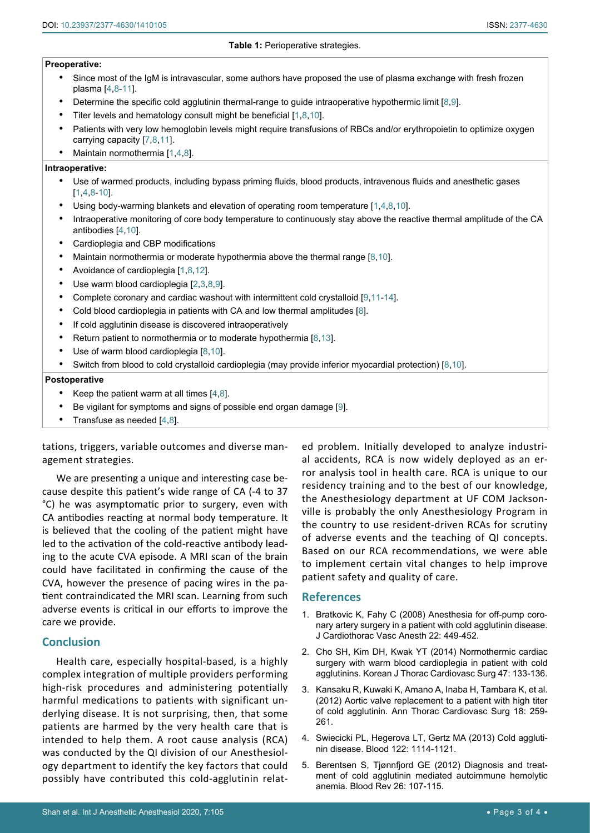#### **Preoperative:**

- <span id="page-2-5"></span>Since most of the IgM is intravascular, some authors have proposed the use of plasma exchange with fresh frozen plasma [[4,](#page-2-3)[8](#page-3-1)[-11](#page-3-4)].
- Determine the specific cold agglutinin thermal-range to guide intraoperative hypothermic limit [[8](#page-3-1)[,9](#page-3-2)].
- Titer levels and hematology consult might be beneficial  $[1,8,10]$  $[1,8,10]$  $[1,8,10]$  $[1,8,10]$  $[1,8,10]$  $[1,8,10]$ .
- Patients with very low hemoglobin levels might require transfusions of RBCs and/or erythropoietin to optimize oxygen carrying capacity [\[7](#page-3-0),[8](#page-3-1)[,11](#page-3-4)].
- Maintain normothermia [[1](#page-2-1)[,4](#page-2-3),[8\]](#page-3-1).

#### **Intraoperative:**

- • Use of warmed products, including bypass priming fluids, blood products, intravenous fluids and anesthetic gases [\[1](#page-2-1),[4,](#page-2-3)[8](#page-3-1)[-10](#page-3-3)].
- Using body-warming blankets and elevation of operating room temperature [[1](#page-2-1)[,4](#page-2-3),[8](#page-3-1)[,10](#page-3-3)].
- Intraoperative monitoring of core body temperature to continuously stay above the reactive thermal amplitude of the CA antibodies [[4](#page-2-3)[,10](#page-3-3)].
- • Cardioplegia and CBP modifications
- Maintain normothermia or moderate hypothermia above the thermal range [[8](#page-3-1)[,10](#page-3-3)].
- Avoidance of cardioplegia [[1](#page-2-1)[,8](#page-3-1),[12\]](#page-3-6).
- Use warm blood cardioplegia  $[2,3,8,9]$  $[2,3,8,9]$  $[2,3,8,9]$  $[2,3,8,9]$  $[2,3,8,9]$  $[2,3,8,9]$  $[2,3,8,9]$ .
- Complete coronary and cardiac washout with intermittent cold crystalloid [[9](#page-3-2)[,11](#page-3-4)[-14](#page-3-7)].
- Cold blood cardioplegia in patients with CA and low thermal amplitudes [[8\]](#page-3-1).
- If cold agglutinin disease is discovered intraoperatively
- Return patient to normothermia or to moderate hypothermia  $[8,13]$  $[8,13]$  $[8,13]$ .
- Use of warm blood cardioplegia  $[8,10]$  $[8,10]$  $[8,10]$  $[8,10]$ .
- Switch from blood to cold crystalloid cardioplegia (may provide inferior myocardial protection) [\[8](#page-3-1),[10\]](#page-3-3).

#### **Postoperative**

- Keep the patient warm at all times  $[4,8]$  $[4,8]$  $[4,8]$ .
- Be vigilant for symptoms and signs of possible end organ damage [\[9](#page-3-2)].
- Transfuse as needed  $[4,8]$  $[4,8]$  $[4,8]$ .

tations, triggers, variable outcomes and diverse management strategies.

We are presenting a unique and interesting case because despite this patient's wide range of CA (-4 to 37 °C) he was asymptomatic prior to surgery, even with CA antibodies reacting at normal body temperature. It is believed that the cooling of the patient might have led to the activation of the cold-reactive antibody leading to the acute CVA episode. A MRI scan of the brain could have facilitated in confirming the cause of the CVA, however the presence of pacing wires in the patient contraindicated the MRI scan. Learning from such adverse events is critical in our efforts to improve the care we provide.

# **Conclusion**

Health care, especially hospital-based, is a highly complex integration of multiple providers performing high-risk procedures and administering potentially harmful medications to patients with significant underlying disease. It is not surprising, then, that some patients are harmed by the very health care that is intended to help them. A root cause analysis (RCA) was conducted by the QI division of our Anesthesiology department to identify the key factors that could possibly have contributed this cold-agglutinin relat-

ed problem. Initially developed to analyze industrial accidents, RCA is now widely deployed as an error analysis tool in health care. RCA is unique to our residency training and to the best of our knowledge, the Anesthesiology department at UF COM Jacksonville is probably the only Anesthesiology Program in the country to use resident-driven RCAs for scrutiny of adverse events and the teaching of QI concepts. Based on our RCA recommendations, we were able to implement certain vital changes to help improve patient safety and quality of care.

# **References**

- <span id="page-2-1"></span>1. [Bratkovic K, Fahy C \(2008\) Anesthesia for off-pump coro](https://www.ncbi.nlm.nih.gov/pubmed/18503940)[nary artery surgery in a patient with cold agglutinin disease.](https://www.ncbi.nlm.nih.gov/pubmed/18503940)  [J Cardiothorac Vasc Anesth 22: 449-452.](https://www.ncbi.nlm.nih.gov/pubmed/18503940)
- <span id="page-2-2"></span>2. [Cho SH, Kim DH, Kwak YT \(2014\) Normothermic cardiac](https://www.ncbi.nlm.nih.gov/pubmed/24782963)  [surgery with warm blood cardioplegia in patient with cold](https://www.ncbi.nlm.nih.gov/pubmed/24782963)  [agglutinins. Korean J Thorac Cardiovasc Surg 47: 133-136.](https://www.ncbi.nlm.nih.gov/pubmed/24782963)
- <span id="page-2-0"></span>3. [Kansaku R, Kuwaki K, Amano A, Inaba H, Tambara K, et al.](https://www.ncbi.nlm.nih.gov/pubmed/22791002)  [\(2012\) Aortic valve replacement to a patient with high titer](https://www.ncbi.nlm.nih.gov/pubmed/22791002)  [of cold agglutinin. Ann Thorac Cardiovasc Surg 18: 259-](https://www.ncbi.nlm.nih.gov/pubmed/22791002) [261.](https://www.ncbi.nlm.nih.gov/pubmed/22791002)
- <span id="page-2-3"></span>4. [Swiecicki PL, Hegerova LT, Gertz MA \(2013\) Cold aggluti](https://www.ncbi.nlm.nih.gov/pubmed/23757733)[nin disease. Blood 122: 1114-1121.](https://www.ncbi.nlm.nih.gov/pubmed/23757733)
- <span id="page-2-4"></span>5. [Berentsen S, Tjønnfjord GE \(2012\) Diagnosis and treat](https://www.ncbi.nlm.nih.gov/pubmed/22330255)[ment of cold agglutinin mediated autoimmune hemolytic](https://www.ncbi.nlm.nih.gov/pubmed/22330255)  [anemia. Blood Rev 26: 107-115.](https://www.ncbi.nlm.nih.gov/pubmed/22330255)